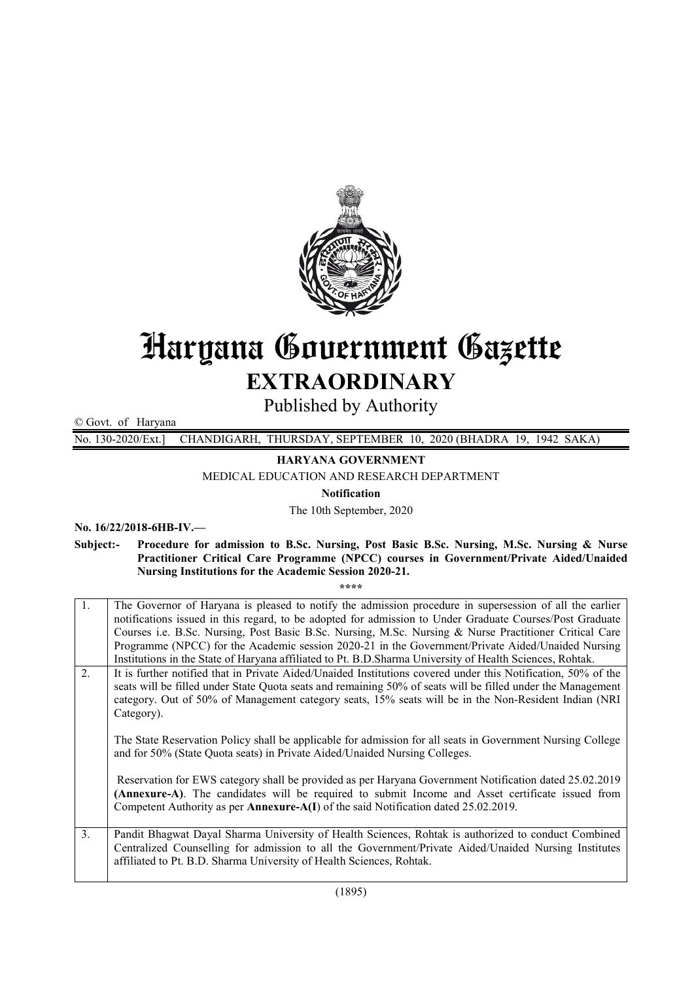

# Haryana Government Gazette EXTRAORDINARY

Published by Authority

© Govt. of Haryana

No. 130-2020/Ext.] CHANDIGARH, THURSDAY, SEPTEMBER 10, 2020 (BHADRA 19, 1942 SAKA)

HARYANA GOVERNMENT

MEDICAL EDUCATION AND RESEARCH DEPARTMENT

Notification

The 10th September, 2020

No. 16/22/2018-6HB-IV.—

Subject:- Procedure for admission to B.Sc. Nursing, Post Basic B.Sc. Nursing, M.Sc. Nursing & Nurse Practitioner Critical Care Programme (NPCC) courses in Government/Private Aided/Unaided Nursing Institutions for the Academic Session 2020-21.

\*\*\*\*

|                                                                                                                                                                                                                                                                                                                                                                        | $\mathbf{1}$ . | The Governor of Haryana is pleased to notify the admission procedure in supersession of all the earlier<br>notifications issued in this regard, to be adopted for admission to Under Graduate Courses/Post Graduate                                                                               |
|------------------------------------------------------------------------------------------------------------------------------------------------------------------------------------------------------------------------------------------------------------------------------------------------------------------------------------------------------------------------|----------------|---------------------------------------------------------------------------------------------------------------------------------------------------------------------------------------------------------------------------------------------------------------------------------------------------|
|                                                                                                                                                                                                                                                                                                                                                                        |                | Courses i.e. B.Sc. Nursing, Post Basic B.Sc. Nursing, M.Sc. Nursing & Nurse Practitioner Critical Care                                                                                                                                                                                            |
|                                                                                                                                                                                                                                                                                                                                                                        |                | Programme (NPCC) for the Academic session 2020-21 in the Government/Private Aided/Unaided Nursing                                                                                                                                                                                                 |
|                                                                                                                                                                                                                                                                                                                                                                        |                | Institutions in the State of Haryana affiliated to Pt. B.D.Sharma University of Health Sciences, Rohtak.                                                                                                                                                                                          |
| $\overline{2}$ .<br>It is further notified that in Private Aided/Unaided Institutions covered under this Notification, 50% of the<br>seats will be filled under State Quota seats and remaining 50% of seats will be filled under the Management<br>category. Out of 50% of Management category seats, 15% seats will be in the Non-Resident Indian (NRI<br>Category). |                |                                                                                                                                                                                                                                                                                                   |
|                                                                                                                                                                                                                                                                                                                                                                        |                | The State Reservation Policy shall be applicable for admission for all seats in Government Nursing College<br>and for 50% (State Quota seats) in Private Aided/Unaided Nursing Colleges.                                                                                                          |
|                                                                                                                                                                                                                                                                                                                                                                        |                | Reservation for EWS category shall be provided as per Haryana Government Notification dated 25.02.2019<br>(Annexure-A). The candidates will be required to submit Income and Asset certificate issued from<br>Competent Authority as per Annexure-A(I) of the said Notification dated 25.02.2019. |
|                                                                                                                                                                                                                                                                                                                                                                        | 3.             | Pandit Bhagwat Dayal Sharma University of Health Sciences, Rohtak is authorized to conduct Combined<br>Centralized Counselling for admission to all the Government/Private Aided/Unaided Nursing Institutes<br>affiliated to Pt. B.D. Sharma University of Health Sciences, Rohtak.               |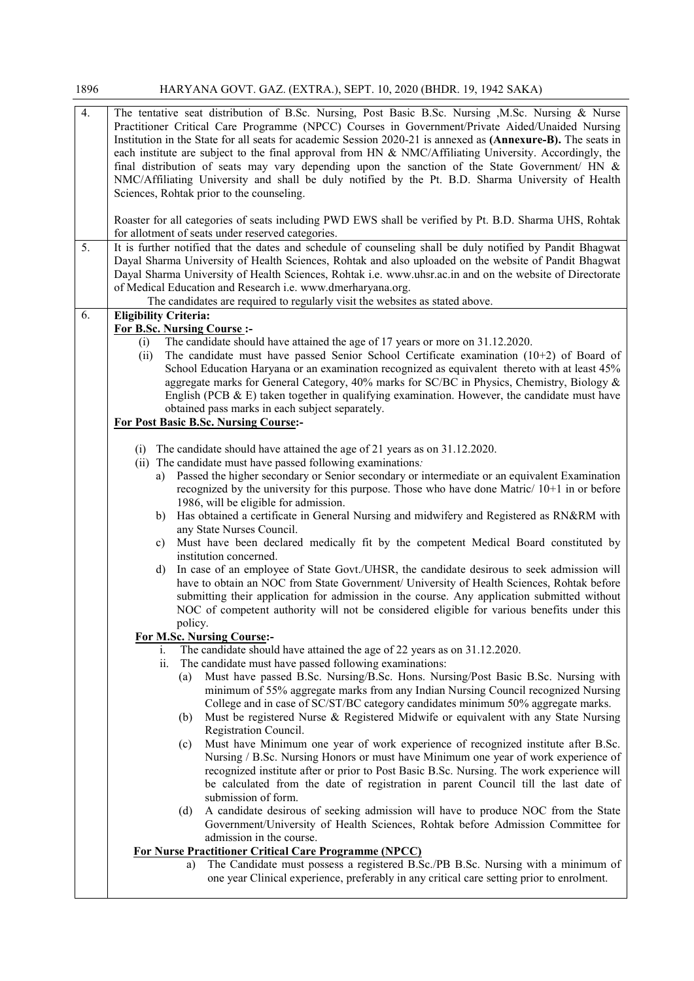| 1896             | HARYANA GOVT. GAZ. (EXTRA.), SEPT. 10, 2020 (BHDR. 19, 1942 SAKA)                                                                                                                                                                                                                                                                                                                                                                                                                                                                                                                                                                                                                                                                                                                                                                                                                                                                                                                                                                                                                                                                                                     |
|------------------|-----------------------------------------------------------------------------------------------------------------------------------------------------------------------------------------------------------------------------------------------------------------------------------------------------------------------------------------------------------------------------------------------------------------------------------------------------------------------------------------------------------------------------------------------------------------------------------------------------------------------------------------------------------------------------------------------------------------------------------------------------------------------------------------------------------------------------------------------------------------------------------------------------------------------------------------------------------------------------------------------------------------------------------------------------------------------------------------------------------------------------------------------------------------------|
| $\overline{4}$ . | The tentative seat distribution of B.Sc. Nursing, Post Basic B.Sc. Nursing, M.Sc. Nursing & Nurse<br>Practitioner Critical Care Programme (NPCC) Courses in Government/Private Aided/Unaided Nursing<br>Institution in the State for all seats for academic Session 2020-21 is annexed as (Annexure-B). The seats in<br>each institute are subject to the final approval from HN & NMC/Affiliating University. Accordingly, the<br>final distribution of seats may vary depending upon the sanction of the State Government/ HN $\&$<br>NMC/Affiliating University and shall be duly notified by the Pt. B.D. Sharma University of Health<br>Sciences, Rohtak prior to the counseling.                                                                                                                                                                                                                                                                                                                                                                                                                                                                                |
|                  | Roaster for all categories of seats including PWD EWS shall be verified by Pt. B.D. Sharma UHS, Rohtak<br>for allotment of seats under reserved categories.                                                                                                                                                                                                                                                                                                                                                                                                                                                                                                                                                                                                                                                                                                                                                                                                                                                                                                                                                                                                           |
| 5.               | It is further notified that the dates and schedule of counseling shall be duly notified by Pandit Bhagwat<br>Dayal Sharma University of Health Sciences, Rohtak and also uploaded on the website of Pandit Bhagwat<br>Dayal Sharma University of Health Sciences, Rohtak i.e. www.uhsr.ac.in and on the website of Directorate<br>of Medical Education and Research i.e. www.dmerharyana.org.<br>The candidates are required to regularly visit the websites as stated above.                                                                                                                                                                                                                                                                                                                                                                                                                                                                                                                                                                                                                                                                                         |
| 6.               | <b>Eligibility Criteria:</b><br><b>For B.Sc. Nursing Course:-</b><br>The candidate should have attained the age of 17 years or more on 31.12.2020.<br>(i)<br>The candidate must have passed Senior School Certificate examination $(10+2)$ of Board of<br>(ii)<br>School Education Haryana or an examination recognized as equivalent thereto with at least 45%<br>aggregate marks for General Category, 40% marks for SC/BC in Physics, Chemistry, Biology &<br>English (PCB $\&$ E) taken together in qualifying examination. However, the candidate must have<br>obtained pass marks in each subject separately.<br><b>For Post Basic B.Sc. Nursing Course:-</b>                                                                                                                                                                                                                                                                                                                                                                                                                                                                                                   |
|                  | The candidate should have attained the age of 21 years as on 31.12.2020.<br>(i)<br>(ii) The candidate must have passed following examinations.<br>Passed the higher secondary or Senior secondary or intermediate or an equivalent Examination<br>a)<br>recognized by the university for this purpose. Those who have done Matric/ $10+1$ in or before<br>1986, will be eligible for admission.<br>Has obtained a certificate in General Nursing and midwifery and Registered as RN&RM with<br>b)<br>any State Nurses Council.<br>Must have been declared medically fit by the competent Medical Board constituted by<br>c)<br>institution concerned.<br>In case of an employee of State Govt./UHSR, the candidate desirous to seek admission will<br>d)<br>have to obtain an NOC from State Government/ University of Health Sciences, Rohtak before<br>submitting their application for admission in the course. Any application submitted without<br>NOC of competent authority will not be considered eligible for various benefits under this                                                                                                                    |
|                  | policy.<br><b>For M.Sc. Nursing Course:-</b><br>The candidate should have attained the age of 22 years as on 31.12.2020.<br>1.<br>The candidate must have passed following examinations:<br>ii.<br>Must have passed B.Sc. Nursing/B.Sc. Hons. Nursing/Post Basic B.Sc. Nursing with<br>(a)<br>minimum of 55% aggregate marks from any Indian Nursing Council recognized Nursing<br>College and in case of SC/ST/BC category candidates minimum 50% aggregate marks.<br>Must be registered Nurse & Registered Midwife or equivalent with any State Nursing<br>(b)<br>Registration Council.<br>Must have Minimum one year of work experience of recognized institute after B.Sc.<br>(c)<br>Nursing / B.Sc. Nursing Honors or must have Minimum one year of work experience of<br>recognized institute after or prior to Post Basic B.Sc. Nursing. The work experience will<br>be calculated from the date of registration in parent Council till the last date of<br>submission of form.<br>A candidate desirous of seeking admission will have to produce NOC from the State<br>(d)<br>Government/University of Health Sciences, Rohtak before Admission Committee for |
|                  | admission in the course.<br>For Nurse Practitioner Critical Care Programme (NPCC)<br>The Candidate must possess a registered B.Sc./PB B.Sc. Nursing with a minimum of<br>a)<br>one year Clinical experience, preferably in any critical care setting prior to enrolment.                                                                                                                                                                                                                                                                                                                                                                                                                                                                                                                                                                                                                                                                                                                                                                                                                                                                                              |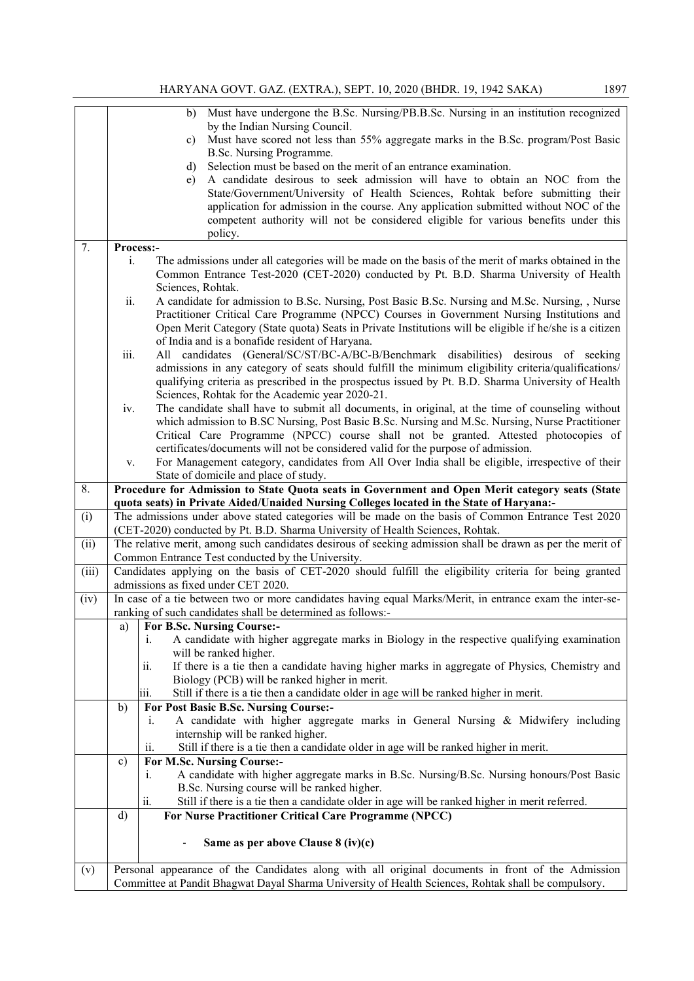|       | 1897<br>HARYANA GOVT. GAZ. (EXTRA.), SEPT. 10, 2020 (BHDR. 19, 1942 SAKA)                                                                                                                                                                                                                                                                                                              |
|-------|----------------------------------------------------------------------------------------------------------------------------------------------------------------------------------------------------------------------------------------------------------------------------------------------------------------------------------------------------------------------------------------|
|       | Must have undergone the B.Sc. Nursing/PB.B.Sc. Nursing in an institution recognized<br>b)<br>by the Indian Nursing Council.<br>Must have scored not less than 55% aggregate marks in the B.Sc. program/Post Basic<br>c)                                                                                                                                                                |
|       | B.Sc. Nursing Programme.<br>Selection must be based on the merit of an entrance examination.<br>d)                                                                                                                                                                                                                                                                                     |
|       | A candidate desirous to seek admission will have to obtain an NOC from the<br>e)<br>State/Government/University of Health Sciences, Rohtak before submitting their<br>application for admission in the course. Any application submitted without NOC of the                                                                                                                            |
|       | competent authority will not be considered eligible for various benefits under this<br>policy.                                                                                                                                                                                                                                                                                         |
| 7.    | Process:-                                                                                                                                                                                                                                                                                                                                                                              |
|       | The admissions under all categories will be made on the basis of the merit of marks obtained in the<br>i.<br>Common Entrance Test-2020 (CET-2020) conducted by Pt. B.D. Sharma University of Health<br>Sciences, Rohtak.                                                                                                                                                               |
|       | ii.<br>A candidate for admission to B.Sc. Nursing, Post Basic B.Sc. Nursing and M.Sc. Nursing, , Nurse<br>Practitioner Critical Care Programme (NPCC) Courses in Government Nursing Institutions and<br>Open Merit Category (State quota) Seats in Private Institutions will be eligible if he/she is a citizen                                                                        |
|       | of India and is a bonafide resident of Haryana.                                                                                                                                                                                                                                                                                                                                        |
|       | iii.<br>All candidates (General/SC/ST/BC-A/BC-B/Benchmark disabilities) desirous of seeking<br>admissions in any category of seats should fulfill the minimum eligibility criteria/qualifications/<br>qualifying criteria as prescribed in the prospectus issued by Pt. B.D. Sharma University of Health<br>Sciences, Rohtak for the Academic year 2020-21.                            |
|       | The candidate shall have to submit all documents, in original, at the time of counseling without<br>iv.<br>which admission to B.SC Nursing, Post Basic B.Sc. Nursing and M.Sc. Nursing, Nurse Practitioner<br>Critical Care Programme (NPCC) course shall not be granted. Attested photocopies of<br>certificates/documents will not be considered valid for the purpose of admission. |
|       | For Management category, candidates from All Over India shall be eligible, irrespective of their<br>V.<br>State of domicile and place of study.                                                                                                                                                                                                                                        |
| 8.    | Procedure for Admission to State Quota seats in Government and Open Merit category seats (State<br>quota seats) in Private Aided/Unaided Nursing Colleges located in the State of Haryana:-                                                                                                                                                                                            |
| (i)   | The admissions under above stated categories will be made on the basis of Common Entrance Test 2020                                                                                                                                                                                                                                                                                    |
|       | (CET-2020) conducted by Pt. B.D. Sharma University of Health Sciences, Rohtak.                                                                                                                                                                                                                                                                                                         |
| (ii)  | The relative merit, among such candidates desirous of seeking admission shall be drawn as per the merit of                                                                                                                                                                                                                                                                             |
| (iii) | Common Entrance Test conducted by the University.<br>Candidates applying on the basis of CET-2020 should fulfill the eligibility criteria for being granted                                                                                                                                                                                                                            |
|       | admissions as fixed under CET 2020.                                                                                                                                                                                                                                                                                                                                                    |
| (iv)  | In case of a tie between two or more candidates having equal Marks/Merit, in entrance exam the inter-se-<br>ranking of such candidates shall be determined as follows:-                                                                                                                                                                                                                |
|       | For B.Sc. Nursing Course:-<br>a)                                                                                                                                                                                                                                                                                                                                                       |
|       | A candidate with higher aggregate marks in Biology in the respective qualifying examination<br>i.<br>will be ranked higher.                                                                                                                                                                                                                                                            |
|       | If there is a tie then a candidate having higher marks in aggregate of Physics, Chemistry and<br>11.<br>Biology (PCB) will be ranked higher in merit.                                                                                                                                                                                                                                  |
|       | Still if there is a tie then a candidate older in age will be ranked higher in merit.<br>iii.                                                                                                                                                                                                                                                                                          |
|       | b)<br>For Post Basic B.Sc. Nursing Course:-                                                                                                                                                                                                                                                                                                                                            |
|       | A candidate with higher aggregate marks in General Nursing $\&$ Midwifery including<br>i.<br>internship will be ranked higher.                                                                                                                                                                                                                                                         |
|       | Still if there is a tie then a candidate older in age will be ranked higher in merit.<br>11.                                                                                                                                                                                                                                                                                           |
|       | For M.Sc. Nursing Course:-<br>$\mathbf{c})$                                                                                                                                                                                                                                                                                                                                            |
|       | A candidate with higher aggregate marks in B.Sc. Nursing/B.Sc. Nursing honours/Post Basic<br>1.                                                                                                                                                                                                                                                                                        |
|       | B.Sc. Nursing course will be ranked higher.                                                                                                                                                                                                                                                                                                                                            |
|       | Still if there is a tie then a candidate older in age will be ranked higher in merit referred.<br>ii.<br>$\mathbf{d}$<br>For Nurse Practitioner Critical Care Programme (NPCC)                                                                                                                                                                                                         |
|       |                                                                                                                                                                                                                                                                                                                                                                                        |
|       | Same as per above Clause 8 (iv)(c)                                                                                                                                                                                                                                                                                                                                                     |
| (v)   | Personal appearance of the Candidates along with all original documents in front of the Admission                                                                                                                                                                                                                                                                                      |
|       | Committee at Pandit Bhagwat Dayal Sharma University of Health Sciences, Rohtak shall be compulsory.                                                                                                                                                                                                                                                                                    |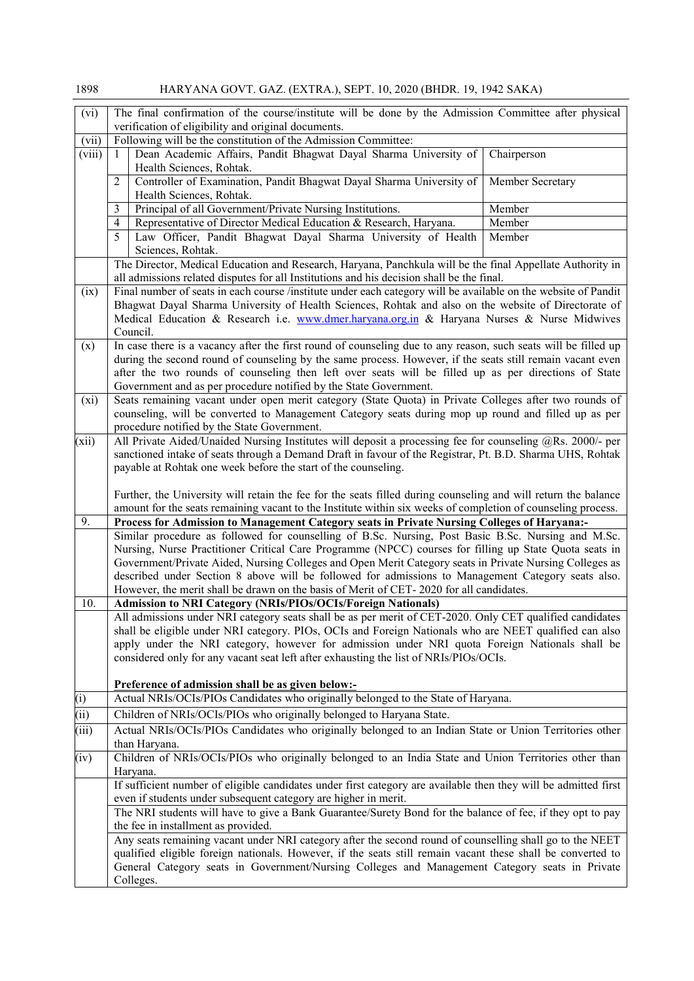| (vi)                                                                                                                                               | The final confirmation of the course/institute will be done by the Admission Committee after physical<br>verification of eligibility and original documents.                                                  |             |  |
|----------------------------------------------------------------------------------------------------------------------------------------------------|---------------------------------------------------------------------------------------------------------------------------------------------------------------------------------------------------------------|-------------|--|
| (vii)                                                                                                                                              | Following will be the constitution of the Admission Committee:                                                                                                                                                |             |  |
| (viii)                                                                                                                                             | Dean Academic Affairs, Pandit Bhagwat Dayal Sharma University of<br>$\mathbf{1}$                                                                                                                              | Chairperson |  |
| Health Sciences, Rohtak.                                                                                                                           |                                                                                                                                                                                                               |             |  |
| $\overline{2}$<br>Controller of Examination, Pandit Bhagwat Dayal Sharma University of<br>Member Secretary<br>Health Sciences, Rohtak.             |                                                                                                                                                                                                               |             |  |
|                                                                                                                                                    | 3<br>Principal of all Government/Private Nursing Institutions.                                                                                                                                                | Member      |  |
| Representative of Director Medical Education & Research, Haryana.<br>Member<br>$\overline{4}$                                                      |                                                                                                                                                                                                               |             |  |
| 5<br>Law Officer, Pandit Bhagwat Dayal Sharma University of Health<br>Member                                                                       |                                                                                                                                                                                                               |             |  |
|                                                                                                                                                    | Sciences, Rohtak.                                                                                                                                                                                             |             |  |
|                                                                                                                                                    | The Director, Medical Education and Research, Haryana, Panchkula will be the final Appellate Authority in                                                                                                     |             |  |
|                                                                                                                                                    | all admissions related disputes for all Institutions and his decision shall be the final.                                                                                                                     |             |  |
| (ix)                                                                                                                                               | Final number of seats in each course /institute under each category will be available on the website of Pandit                                                                                                |             |  |
|                                                                                                                                                    | Bhagwat Dayal Sharma University of Health Sciences, Rohtak and also on the website of Directorate of<br>Medical Education & Research i.e. www.dmer.haryana.org.in & Haryana Nurses & Nurse Midwives           |             |  |
|                                                                                                                                                    | Council.<br>In case there is a vacancy after the first round of counseling due to any reason, such seats will be filled up                                                                                    |             |  |
| (x)                                                                                                                                                | during the second round of counseling by the same process. However, if the seats still remain vacant even                                                                                                     |             |  |
|                                                                                                                                                    | after the two rounds of counseling then left over seats will be filled up as per directions of State                                                                                                          |             |  |
|                                                                                                                                                    | Government and as per procedure notified by the State Government.                                                                                                                                             |             |  |
| (xi)                                                                                                                                               | Seats remaining vacant under open merit category (State Quota) in Private Colleges after two rounds of                                                                                                        |             |  |
|                                                                                                                                                    |                                                                                                                                                                                                               |             |  |
| counseling, will be converted to Management Category seats during mop up round and filled up as per<br>procedure notified by the State Government. |                                                                                                                                                                                                               |             |  |
| (xii)                                                                                                                                              | All Private Aided/Unaided Nursing Institutes will deposit a processing fee for counseling @Rs. 2000/- per                                                                                                     |             |  |
|                                                                                                                                                    | sanctioned intake of seats through a Demand Draft in favour of the Registrar, Pt. B.D. Sharma UHS, Rohtak                                                                                                     |             |  |
|                                                                                                                                                    | payable at Rohtak one week before the start of the counseling.                                                                                                                                                |             |  |
|                                                                                                                                                    |                                                                                                                                                                                                               |             |  |
|                                                                                                                                                    | Further, the University will retain the fee for the seats filled during counseling and will return the balance                                                                                                |             |  |
|                                                                                                                                                    | amount for the seats remaining vacant to the Institute within six weeks of completion of counseling process.                                                                                                  |             |  |
| 9.                                                                                                                                                 | Process for Admission to Management Category seats in Private Nursing Colleges of Haryana:-                                                                                                                   |             |  |
|                                                                                                                                                    | Similar procedure as followed for counselling of B.Sc. Nursing, Post Basic B.Sc. Nursing and M.Sc.                                                                                                            |             |  |
| Nursing, Nurse Practitioner Critical Care Programme (NPCC) courses for filling up State Quota seats in                                             |                                                                                                                                                                                                               |             |  |
| Government/Private Aided, Nursing Colleges and Open Merit Category seats in Private Nursing Colleges as                                            |                                                                                                                                                                                                               |             |  |
| described under Section 8 above will be followed for admissions to Management Category seats also.                                                 |                                                                                                                                                                                                               |             |  |
| However, the merit shall be drawn on the basis of Merit of CET-2020 for all candidates.                                                            |                                                                                                                                                                                                               |             |  |
| 10.<br><b>Admission to NRI Category (NRIs/PIOs/OCIs/Foreign Nationals)</b>                                                                         |                                                                                                                                                                                                               |             |  |
| All admissions under NRI category seats shall be as per merit of CET-2020. Only CET qualified candidates                                           |                                                                                                                                                                                                               |             |  |
| shall be eligible under NRI category. PIOs, OCIs and Foreign Nationals who are NEET qualified can also                                             |                                                                                                                                                                                                               |             |  |
| apply under the NRI category, however for admission under NRI quota Foreign Nationals shall be                                                     |                                                                                                                                                                                                               |             |  |
|                                                                                                                                                    | considered only for any vacant seat left after exhausting the list of NRIs/PIOs/OCIs.                                                                                                                         |             |  |
|                                                                                                                                                    |                                                                                                                                                                                                               |             |  |
| Preference of admission shall be as given below:-                                                                                                  |                                                                                                                                                                                                               |             |  |
| (i)                                                                                                                                                | Actual NRIs/OCIs/PIOs Candidates who originally belonged to the State of Haryana.                                                                                                                             |             |  |
| (iii)                                                                                                                                              | Children of NRIs/OCIs/PIOs who originally belonged to Haryana State.                                                                                                                                          |             |  |
| (iii)                                                                                                                                              | Actual NRIs/OCIs/PIOs Candidates who originally belonged to an Indian State or Union Territories other                                                                                                        |             |  |
|                                                                                                                                                    | than Haryana.                                                                                                                                                                                                 |             |  |
| (iv)                                                                                                                                               | Children of NRIs/OCIs/PIOs who originally belonged to an India State and Union Territories other than                                                                                                         |             |  |
|                                                                                                                                                    | Haryana.                                                                                                                                                                                                      |             |  |
|                                                                                                                                                    | If sufficient number of eligible candidates under first category are available then they will be admitted first                                                                                               |             |  |
|                                                                                                                                                    | even if students under subsequent category are higher in merit.<br>The NRI students will have to give a Bank Guarantee/Surety Bond for the balance of fee, if they opt to pay                                 |             |  |
|                                                                                                                                                    | the fee in installment as provided.                                                                                                                                                                           |             |  |
|                                                                                                                                                    | Any seats remaining vacant under NRI category after the second round of counselling shall go to the NEET                                                                                                      |             |  |
|                                                                                                                                                    |                                                                                                                                                                                                               |             |  |
|                                                                                                                                                    | qualified eligible foreign nationals. However, if the seats still remain vacant these shall be converted to<br>General Category seats in Government/Nursing Colleges and Management Category seats in Private |             |  |
|                                                                                                                                                    |                                                                                                                                                                                                               |             |  |
|                                                                                                                                                    | Colleges.                                                                                                                                                                                                     |             |  |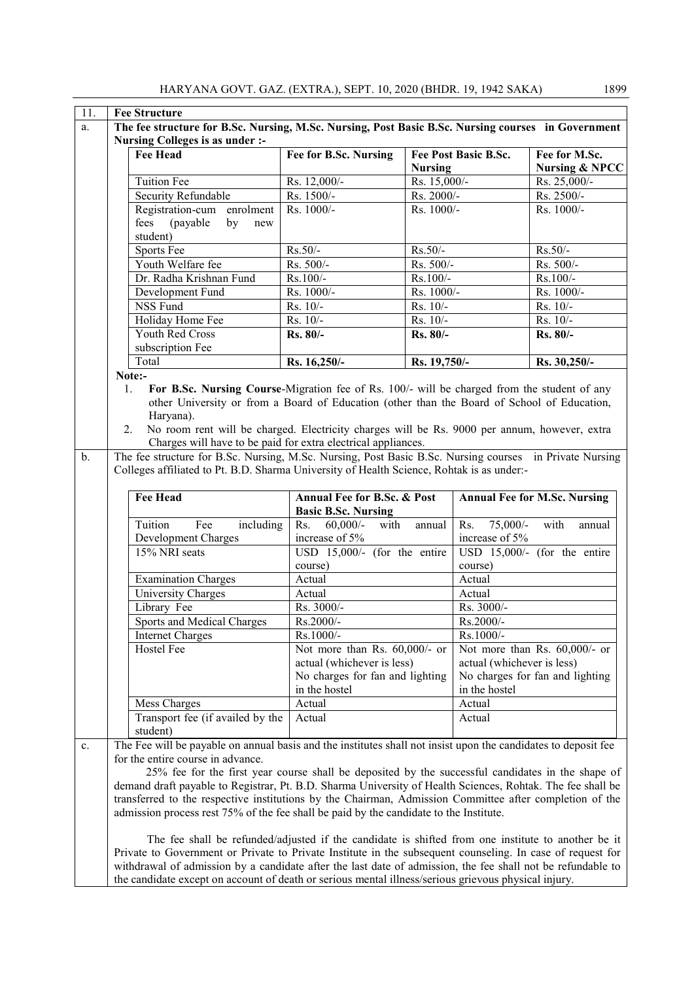| 11.                                                                                                      | <b>Fee Structure</b>                                                                                                                                                                                                                                                                                                                                                                                                 |                                                           |                |                                      |                                            |
|----------------------------------------------------------------------------------------------------------|----------------------------------------------------------------------------------------------------------------------------------------------------------------------------------------------------------------------------------------------------------------------------------------------------------------------------------------------------------------------------------------------------------------------|-----------------------------------------------------------|----------------|--------------------------------------|--------------------------------------------|
| The fee structure for B.Sc. Nursing, M.Sc. Nursing, Post Basic B.Sc. Nursing courses in Government<br>a. |                                                                                                                                                                                                                                                                                                                                                                                                                      |                                                           |                |                                      |                                            |
| Nursing Colleges is as under :-                                                                          |                                                                                                                                                                                                                                                                                                                                                                                                                      |                                                           |                |                                      |                                            |
|                                                                                                          | <b>Fee Head</b>                                                                                                                                                                                                                                                                                                                                                                                                      | Fee for B.Sc. Nursing                                     | <b>Nursing</b> | Fee Post Basic B.Sc.                 | Fee for M.Sc.<br><b>Nursing &amp; NPCC</b> |
|                                                                                                          | <b>Tuition Fee</b>                                                                                                                                                                                                                                                                                                                                                                                                   | Rs. 12,000/-                                              | Rs. 15,000/-   |                                      | Rs. 25,000/-                               |
|                                                                                                          | Security Refundable                                                                                                                                                                                                                                                                                                                                                                                                  | Rs. 1500/-                                                | Rs. 2000/-     |                                      | Rs. 2500/-                                 |
|                                                                                                          | Registration-cum enrolment                                                                                                                                                                                                                                                                                                                                                                                           | Rs. 1000/-                                                | Rs. 1000/-     |                                      | Rs. 1000/-                                 |
|                                                                                                          | fees<br>(payable)<br>by<br>new<br>student)                                                                                                                                                                                                                                                                                                                                                                           |                                                           |                |                                      |                                            |
|                                                                                                          | Sports Fee                                                                                                                                                                                                                                                                                                                                                                                                           | $Rs.50/-$                                                 | Rs.50/-        |                                      | $Rs.50/-$                                  |
|                                                                                                          | Youth Welfare fee                                                                                                                                                                                                                                                                                                                                                                                                    | Rs. 500/-                                                 | Rs. 500/-      |                                      | Rs. 500/-                                  |
|                                                                                                          | Dr. Radha Krishnan Fund                                                                                                                                                                                                                                                                                                                                                                                              | Rs.100/-                                                  | Rs.100/-       |                                      | Rs.100/-                                   |
|                                                                                                          | Development Fund                                                                                                                                                                                                                                                                                                                                                                                                     | Rs. 1000/-                                                | Rs. 1000/-     |                                      | Rs. 1000/-                                 |
|                                                                                                          | <b>NSS Fund</b>                                                                                                                                                                                                                                                                                                                                                                                                      | Rs. 10/-                                                  | Rs. 10/-       |                                      | Rs. 10/-                                   |
|                                                                                                          | Holiday Home Fee                                                                                                                                                                                                                                                                                                                                                                                                     | Rs. 10/-                                                  | Rs. 10/-       |                                      | Rs. 10/-                                   |
|                                                                                                          | <b>Youth Red Cross</b>                                                                                                                                                                                                                                                                                                                                                                                               | Rs. 80/-                                                  | Rs. 80/-       |                                      | Rs. 80/-                                   |
|                                                                                                          | subscription Fee                                                                                                                                                                                                                                                                                                                                                                                                     |                                                           |                |                                      |                                            |
|                                                                                                          | Total                                                                                                                                                                                                                                                                                                                                                                                                                | Rs. 16,250/-                                              | Rs. 19,750/-   |                                      | Rs. 30,250/-                               |
|                                                                                                          | Note:-                                                                                                                                                                                                                                                                                                                                                                                                               |                                                           |                |                                      |                                            |
|                                                                                                          | For B.Sc. Nursing Course-Migration fee of Rs. 100/- will be charged from the student of any<br>1.<br>other University or from a Board of Education (other than the Board of School of Education,<br>Haryana).<br>No room rent will be charged. Electricity charges will be Rs. 9000 per annum, however, extra<br>2.<br>Charges will have to be paid for extra electrical appliances.                                 |                                                           |                |                                      |                                            |
| $\mathbf b$ .                                                                                            | The fee structure for B.Sc. Nursing, M.Sc. Nursing, Post Basic B.Sc. Nursing courses in Private Nursing                                                                                                                                                                                                                                                                                                              |                                                           |                |                                      |                                            |
|                                                                                                          | Colleges affiliated to Pt. B.D. Sharma University of Health Science, Rohtak is as under:-                                                                                                                                                                                                                                                                                                                            |                                                           |                |                                      |                                            |
|                                                                                                          |                                                                                                                                                                                                                                                                                                                                                                                                                      |                                                           |                |                                      |                                            |
|                                                                                                          | <b>Fee Head</b>                                                                                                                                                                                                                                                                                                                                                                                                      | Annual Fee for B.Sc. & Post<br><b>Basic B.Sc. Nursing</b> |                |                                      | <b>Annual Fee for M.Sc. Nursing</b>        |
|                                                                                                          | Tuition<br>Fee<br>including                                                                                                                                                                                                                                                                                                                                                                                          | Rs.<br>$60,000/$ -<br>with<br>increase of 5%              | annual         | $75,000/$ -<br>Rs.<br>increase of 5% | with<br>annual                             |
|                                                                                                          | Development Charges<br>15% NRI seats                                                                                                                                                                                                                                                                                                                                                                                 | USD 15,000/- (for the entire                              |                |                                      | USD 15,000/- (for the entire               |
|                                                                                                          |                                                                                                                                                                                                                                                                                                                                                                                                                      |                                                           |                |                                      |                                            |
|                                                                                                          |                                                                                                                                                                                                                                                                                                                                                                                                                      | course)                                                   |                | course)                              |                                            |
|                                                                                                          | <b>Examination Charges</b>                                                                                                                                                                                                                                                                                                                                                                                           | Actual                                                    |                | Actual                               |                                            |
|                                                                                                          | University Charges                                                                                                                                                                                                                                                                                                                                                                                                   | Actual                                                    |                | Actual                               |                                            |
|                                                                                                          | Library Fee                                                                                                                                                                                                                                                                                                                                                                                                          | Rs. 3000/-                                                |                | Rs. 3000/-                           |                                            |
|                                                                                                          | Sports and Medical Charges                                                                                                                                                                                                                                                                                                                                                                                           | Rs.2000/-                                                 |                | Rs.2000/-                            |                                            |
|                                                                                                          | Rs.1000/-<br><b>Internet Charges</b>                                                                                                                                                                                                                                                                                                                                                                                 |                                                           |                | Rs.1000/-                            |                                            |
|                                                                                                          | Hostel Fee                                                                                                                                                                                                                                                                                                                                                                                                           | Not more than Rs. 60,000/- or                             |                |                                      | Not more than Rs. 60,000/- or              |
|                                                                                                          |                                                                                                                                                                                                                                                                                                                                                                                                                      | actual (whichever is less)                                |                | actual (whichever is less)           |                                            |
|                                                                                                          |                                                                                                                                                                                                                                                                                                                                                                                                                      | No charges for fan and lighting                           |                |                                      | No charges for fan and lighting            |
|                                                                                                          |                                                                                                                                                                                                                                                                                                                                                                                                                      | in the hostel                                             |                | in the hostel                        |                                            |
|                                                                                                          | Mess Charges                                                                                                                                                                                                                                                                                                                                                                                                         | Actual                                                    |                | Actual                               |                                            |
|                                                                                                          | Transport fee (if availed by the                                                                                                                                                                                                                                                                                                                                                                                     | Actual                                                    |                | Actual                               |                                            |
|                                                                                                          | student)                                                                                                                                                                                                                                                                                                                                                                                                             |                                                           |                |                                      |                                            |
| c.                                                                                                       | The Fee will be payable on annual basis and the institutes shall not insist upon the candidates to deposit fee                                                                                                                                                                                                                                                                                                       |                                                           |                |                                      |                                            |
|                                                                                                          | for the entire course in advance.                                                                                                                                                                                                                                                                                                                                                                                    |                                                           |                |                                      |                                            |
|                                                                                                          | 25% fee for the first year course shall be deposited by the successful candidates in the shape of<br>demand draft payable to Registrar, Pt. B.D. Sharma University of Health Sciences, Rohtak. The fee shall be<br>transferred to the respective institutions by the Chairman, Admission Committee after completion of the<br>admission process rest 75% of the fee shall be paid by the candidate to the Institute. |                                                           |                |                                      |                                            |
|                                                                                                          | The fee shall be refunded/adjusted if the candidate is shifted from one institute to another be it<br>Private to Government or Private to Private Institute in the subsequent counseling. In case of request for<br>withdrawal of admission by a candidate after the last date of admission, the fee shall not be refundable to                                                                                      |                                                           |                |                                      |                                            |

the candidate except on account of death or serious mental illness/serious grievous physical injury.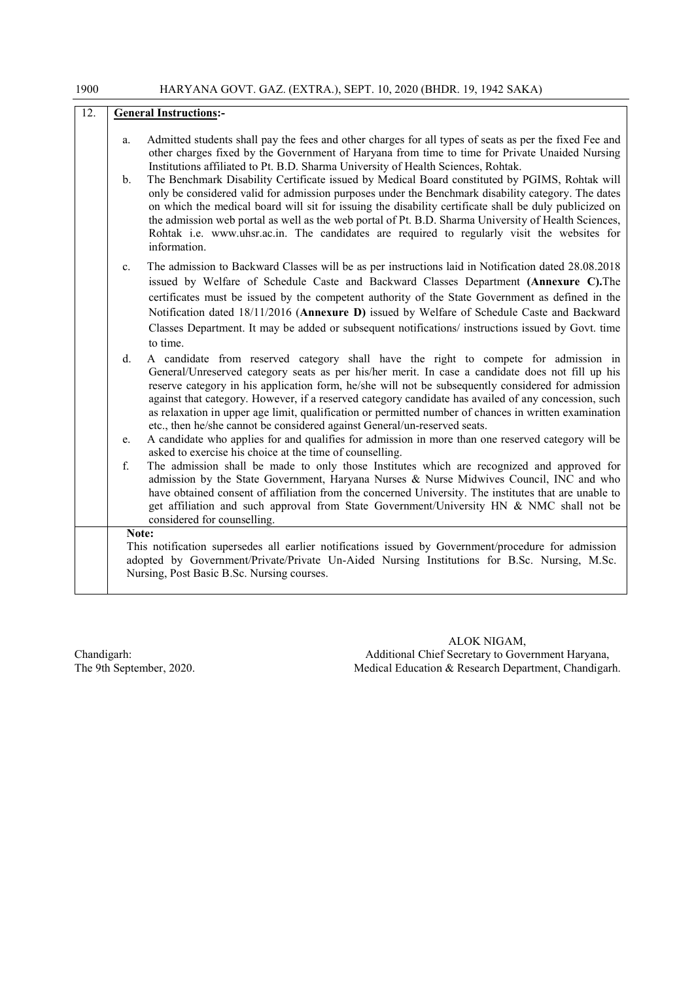| 12. | <b>General Instructions:-</b> |                                                                                                                                                                                                                                                                                                                                                                                                                                                                                                                                                                                                                                                                                                                                                                                                                                        |  |
|-----|-------------------------------|----------------------------------------------------------------------------------------------------------------------------------------------------------------------------------------------------------------------------------------------------------------------------------------------------------------------------------------------------------------------------------------------------------------------------------------------------------------------------------------------------------------------------------------------------------------------------------------------------------------------------------------------------------------------------------------------------------------------------------------------------------------------------------------------------------------------------------------|--|
|     | a.<br>$\mathbf{b}$ .          | Admitted students shall pay the fees and other charges for all types of seats as per the fixed Fee and<br>other charges fixed by the Government of Haryana from time to time for Private Unaided Nursing<br>Institutions affiliated to Pt. B.D. Sharma University of Health Sciences, Rohtak.<br>The Benchmark Disability Certificate issued by Medical Board constituted by PGIMS, Rohtak will<br>only be considered valid for admission purposes under the Benchmark disability category. The dates<br>on which the medical board will sit for issuing the disability certificate shall be duly publicized on<br>the admission web portal as well as the web portal of Pt. B.D. Sharma University of Health Sciences,<br>Rohtak i.e. www.uhsr.ac.in. The candidates are required to regularly visit the websites for<br>information. |  |
|     | $c_{\cdot}$                   | The admission to Backward Classes will be as per instructions laid in Notification dated 28.08.2018<br>issued by Welfare of Schedule Caste and Backward Classes Department (Annexure C). The<br>certificates must be issued by the competent authority of the State Government as defined in the<br>Notification dated 18/11/2016 (Annexure D) issued by Welfare of Schedule Caste and Backward<br>Classes Department. It may be added or subsequent notifications/ instructions issued by Govt. time<br>to time.                                                                                                                                                                                                                                                                                                                      |  |
|     | d.<br>e.                      | A candidate from reserved category shall have the right to compete for admission in<br>General/Unreserved category seats as per his/her merit. In case a candidate does not fill up his<br>reserve category in his application form, he/she will not be subsequently considered for admission<br>against that category. However, if a reserved category candidate has availed of any concession, such<br>as relaxation in upper age limit, qualification or permitted number of chances in written examination<br>etc., then he/she cannot be considered against General/un-reserved seats.<br>A candidate who applies for and qualifies for admission in more than one reserved category will be                                                                                                                                      |  |
|     | f.                            | asked to exercise his choice at the time of counselling.<br>The admission shall be made to only those Institutes which are recognized and approved for<br>admission by the State Government, Haryana Nurses & Nurse Midwives Council, INC and who<br>have obtained consent of affiliation from the concerned University. The institutes that are unable to<br>get affiliation and such approval from State Government/University HN & NMC shall not be<br>considered for counselling.                                                                                                                                                                                                                                                                                                                                                  |  |
|     |                               | Note:<br>This notification supersedes all earlier notifications issued by Government/procedure for admission<br>adopted by Government/Private/Private Un-Aided Nursing Institutions for B.Sc. Nursing, M.Sc.<br>Nursing, Post Basic B.Sc. Nursing courses.                                                                                                                                                                                                                                                                                                                                                                                                                                                                                                                                                                             |  |

ALOK NIGAM, Chandigarh: Additional Chief Secretary to Government Haryana, The 9th September, 2020. The 9th September, 2020. Medical Education & Research Department, Chandigarh.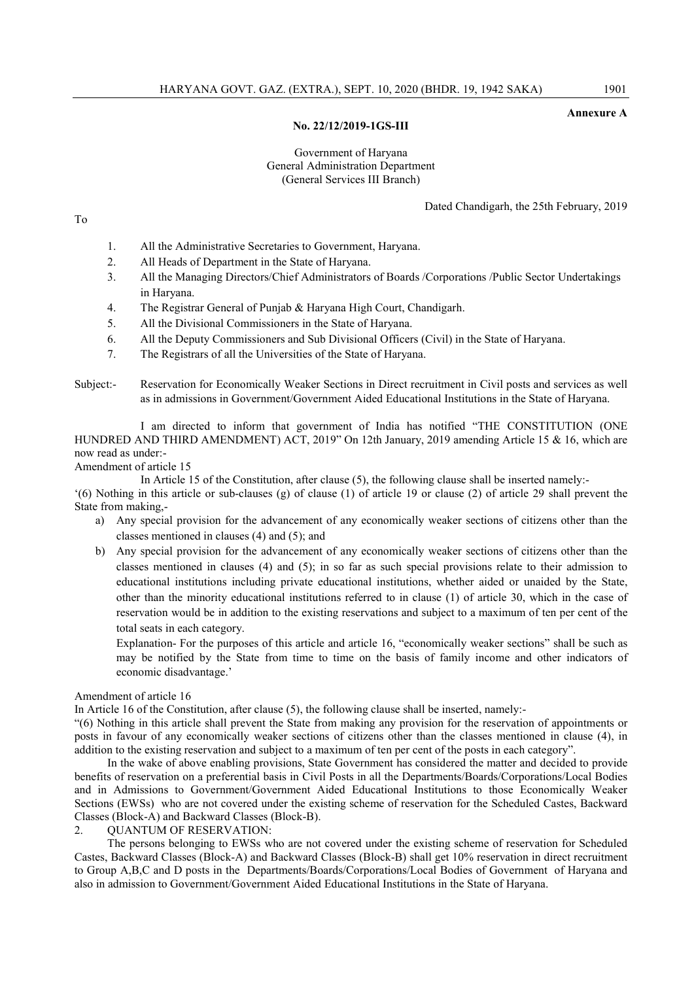#### Annexure A

### No. 22/12/2019-1GS-III

## Government of Haryana General Administration Department (General Services III Branch)

Dated Chandigarh, the 25th February, 2019

- 1. All the Administrative Secretaries to Government, Haryana.
- 2. All Heads of Department in the State of Haryana.
- 3. All the Managing Directors/Chief Administrators of Boards /Corporations /Public Sector Undertakings in Haryana.
- 4. The Registrar General of Punjab & Haryana High Court, Chandigarh.
- 5. All the Divisional Commissioners in the State of Haryana.
- 6. All the Deputy Commissioners and Sub Divisional Officers (Civil) in the State of Haryana.
- 7. The Registrars of all the Universities of the State of Haryana.
- Subject:- Reservation for Economically Weaker Sections in Direct recruitment in Civil posts and services as well as in admissions in Government/Government Aided Educational Institutions in the State of Haryana.

I am directed to inform that government of India has notified "THE CONSTITUTION (ONE HUNDRED AND THIRD AMENDMENT) ACT, 2019" On 12th January, 2019 amending Article 15 & 16, which are now read as under:-

# Amendment of article 15

In Article 15 of the Constitution, after clause (5), the following clause shall be inserted namely:-

'(6) Nothing in this article or sub-clauses (g) of clause (1) of article 19 or clause (2) of article 29 shall prevent the State from making,-

- a) Any special provision for the advancement of any economically weaker sections of citizens other than the classes mentioned in clauses (4) and (5); and
- b) Any special provision for the advancement of any economically weaker sections of citizens other than the classes mentioned in clauses (4) and (5); in so far as such special provisions relate to their admission to educational institutions including private educational institutions, whether aided or unaided by the State, other than the minority educational institutions referred to in clause (1) of article 30, which in the case of reservation would be in addition to the existing reservations and subject to a maximum of ten per cent of the total seats in each category.

Explanation- For the purposes of this article and article 16, "economically weaker sections" shall be such as may be notified by the State from time to time on the basis of family income and other indicators of economic disadvantage.'

### Amendment of article 16

In Article 16 of the Constitution, after clause (5), the following clause shall be inserted, namely:-

"(6) Nothing in this article shall prevent the State from making any provision for the reservation of appointments or posts in favour of any economically weaker sections of citizens other than the classes mentioned in clause (4), in addition to the existing reservation and subject to a maximum of ten per cent of the posts in each category".

In the wake of above enabling provisions, State Government has considered the matter and decided to provide benefits of reservation on a preferential basis in Civil Posts in all the Departments/Boards/Corporations/Local Bodies and in Admissions to Government/Government Aided Educational Institutions to those Economically Weaker Sections (EWSs) who are not covered under the existing scheme of reservation for the Scheduled Castes, Backward Classes (Block-A) and Backward Classes (Block-B).

2. QUANTUM OF RESERVATION:

The persons belonging to EWSs who are not covered under the existing scheme of reservation for Scheduled Castes, Backward Classes (Block-A) and Backward Classes (Block-B) shall get 10% reservation in direct recruitment to Group A,B,C and D posts in the Departments/Boards/Corporations/Local Bodies of Government of Haryana and also in admission to Government/Government Aided Educational Institutions in the State of Haryana.

To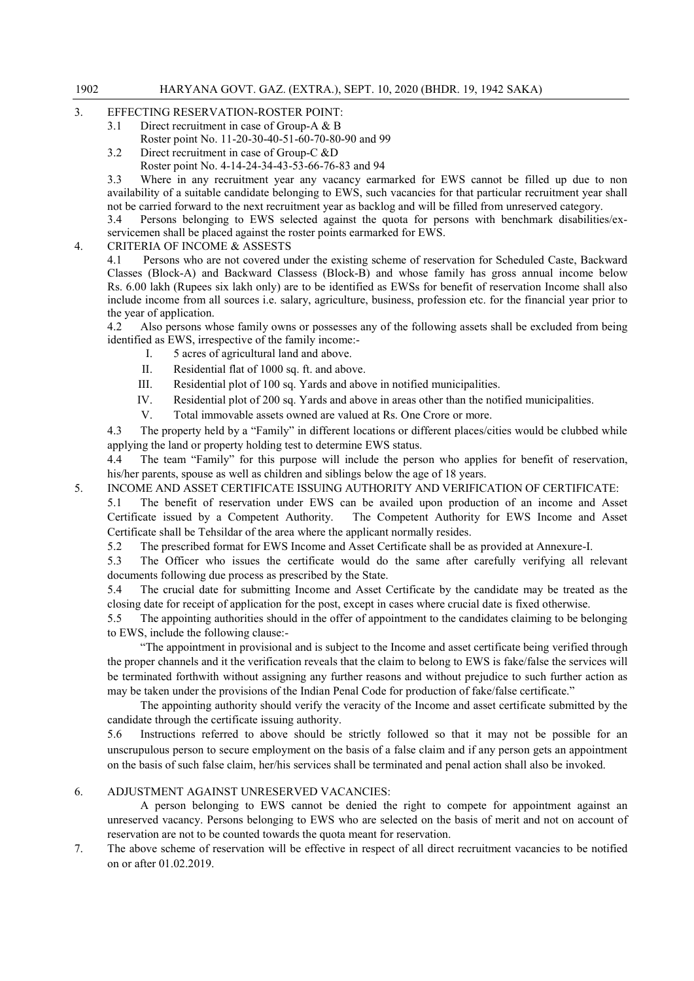- 3. EFFECTING RESERVATION-ROSTER POINT:
	- 3.1 Direct recruitment in case of Group-A & B
		- Roster point No. 11-20-30-40-51-60-70-80-90 and 99
	- 3.2 Direct recruitment in case of Group-C &D
		- Roster point No. 4-14-24-34-43-53-66-76-83 and 94

3.3 Where in any recruitment year any vacancy earmarked for EWS cannot be filled up due to non availability of a suitable candidate belonging to EWS, such vacancies for that particular recruitment year shall not be carried forward to the next recruitment year as backlog and will be filled from unreserved category.

3.4 Persons belonging to EWS selected against the quota for persons with benchmark disabilities/exservicemen shall be placed against the roster points earmarked for EWS.

4. CRITERIA OF INCOME & ASSESTS

4.1 Persons who are not covered under the existing scheme of reservation for Scheduled Caste, Backward Classes (Block-A) and Backward Classess (Block-B) and whose family has gross annual income below Rs. 6.00 lakh (Rupees six lakh only) are to be identified as EWSs for benefit of reservation Income shall also include income from all sources i.e. salary, agriculture, business, profession etc. for the financial year prior to the year of application.

4.2 Also persons whose family owns or possesses any of the following assets shall be excluded from being identified as EWS, irrespective of the family income:-

- I. 5 acres of agricultural land and above.
- II. Residential flat of 1000 sq. ft. and above.
- III. Residential plot of 100 sq. Yards and above in notified municipalities.
- IV. Residential plot of 200 sq. Yards and above in areas other than the notified municipalities.
- V. Total immovable assets owned are valued at Rs. One Crore or more.

4.3 The property held by a "Family" in different locations or different places/cities would be clubbed while applying the land or property holding test to determine EWS status.

4.4 The team "Family" for this purpose will include the person who applies for benefit of reservation, his/her parents, spouse as well as children and siblings below the age of 18 years.

5. INCOME AND ASSET CERTIFICATE ISSUING AUTHORITY AND VERIFICATION OF CERTIFICATE:

5.1 The benefit of reservation under EWS can be availed upon production of an income and Asset Certificate issued by a Competent Authority. The Competent Authority for EWS Income and Asset Certificate shall be Tehsildar of the area where the applicant normally resides.

5.2 The prescribed format for EWS Income and Asset Certificate shall be as provided at Annexure-I.

5.3 The Officer who issues the certificate would do the same after carefully verifying all relevant documents following due process as prescribed by the State.

5.4 The crucial date for submitting Income and Asset Certificate by the candidate may be treated as the closing date for receipt of application for the post, except in cases where crucial date is fixed otherwise.

5.5 The appointing authorities should in the offer of appointment to the candidates claiming to be belonging to EWS, include the following clause:-

"The appointment in provisional and is subject to the Income and asset certificate being verified through the proper channels and it the verification reveals that the claim to belong to EWS is fake/false the services will be terminated forthwith without assigning any further reasons and without prejudice to such further action as may be taken under the provisions of the Indian Penal Code for production of fake/false certificate."

The appointing authority should verify the veracity of the Income and asset certificate submitted by the candidate through the certificate issuing authority.

5.6 Instructions referred to above should be strictly followed so that it may not be possible for an unscrupulous person to secure employment on the basis of a false claim and if any person gets an appointment on the basis of such false claim, her/his services shall be terminated and penal action shall also be invoked.

# 6. ADJUSTMENT AGAINST UNRESERVED VACANCIES:

A person belonging to EWS cannot be denied the right to compete for appointment against an unreserved vacancy. Persons belonging to EWS who are selected on the basis of merit and not on account of reservation are not to be counted towards the quota meant for reservation.

7. The above scheme of reservation will be effective in respect of all direct recruitment vacancies to be notified on or after 01.02.2019.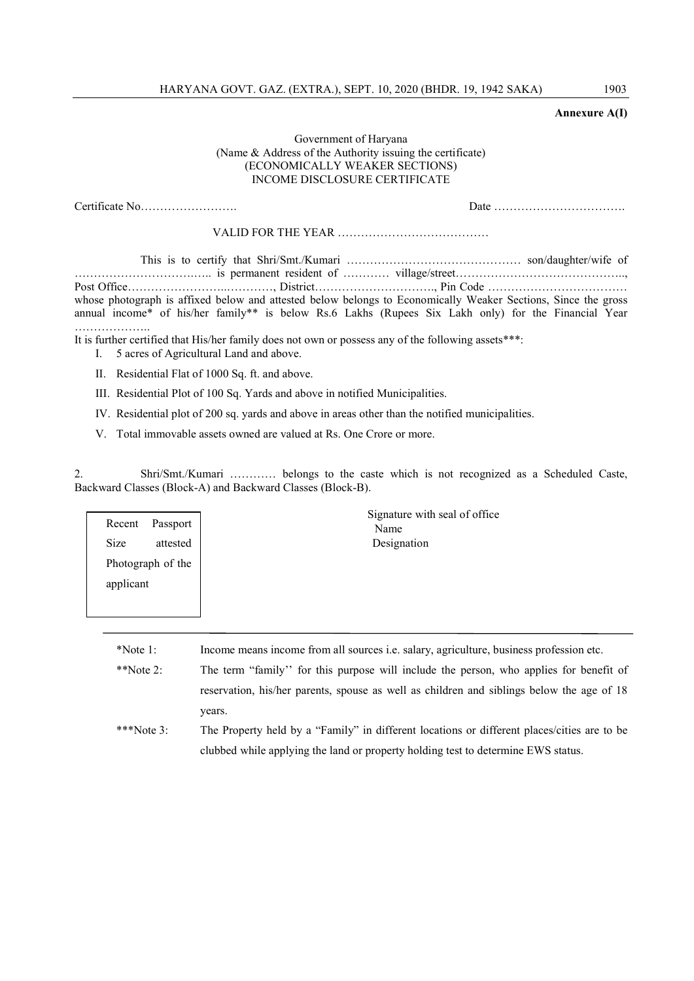## Annexure A(I)

# Government of Haryana (Name & Address of the Authority issuing the certificate) (ECONOMICALLY WEAKER SECTIONS) INCOME DISCLOSURE CERTIFICATE

|                                                                                                                                                   | whose photograph is affixed below and attested below belongs to Economically Weaker Sections, Since the gross<br>annual income* of his/her family** is below Rs.6 Lakhs (Rupees Six Lakh only) for the Financial Year |  |  |
|---------------------------------------------------------------------------------------------------------------------------------------------------|-----------------------------------------------------------------------------------------------------------------------------------------------------------------------------------------------------------------------|--|--|
| It is further certified that His/her family does not own or possess any of the following assets***:<br>I. 5 acres of Agricultural Land and above. |                                                                                                                                                                                                                       |  |  |
| II. Residential Flat of 1000 Sq. ft. and above.                                                                                                   |                                                                                                                                                                                                                       |  |  |

III. Residential Plot of 100 Sq. Yards and above in notified Municipalities.

IV. Residential plot of 200 sq. yards and above in areas other than the notified municipalities.

V. Total immovable assets owned are valued at Rs. One Crore or more.

2. Shri/Smt./Kumari ………… belongs to the caste which is not recognized as a Scheduled Caste, Backward Classes (Block-A) and Backward Classes (Block-B).

| Passport<br>Recent<br><b>Size</b><br>attested<br>Photograph of the | Signature with seal of office<br>Name<br>Designation |
|--------------------------------------------------------------------|------------------------------------------------------|
| applicant                                                          |                                                      |

\*Note 1: Income means income from all sources i.e. salary, agriculture, business profession etc.

\*\*Note 2: The term "family'' for this purpose will include the person, who applies for benefit of reservation, his/her parents, spouse as well as children and siblings below the age of 18 years.

\*\*\*Note 3: The Property held by a "Family" in different locations or different places/cities are to be clubbed while applying the land or property holding test to determine EWS status.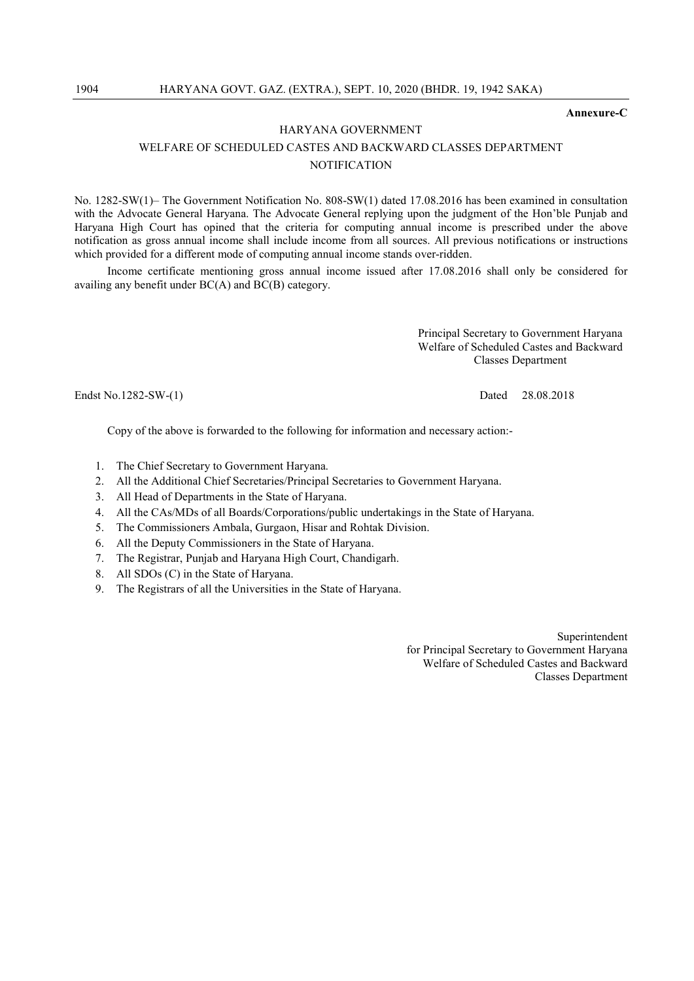Annexure-C

# HARYANA GOVERNMENT WELFARE OF SCHEDULED CASTES AND BACKWARD CLASSES DEPARTMENT **NOTIFICATION**

No. 1282-SW(1)– The Government Notification No. 808-SW(1) dated 17.08.2016 has been examined in consultation with the Advocate General Haryana. The Advocate General replying upon the judgment of the Hon'ble Punjab and Haryana High Court has opined that the criteria for computing annual income is prescribed under the above notification as gross annual income shall include income from all sources. All previous notifications or instructions which provided for a different mode of computing annual income stands over-ridden.

Income certificate mentioning gross annual income issued after 17.08.2016 shall only be considered for availing any benefit under BC(A) and BC(B) category.

> Principal Secretary to Government Haryana Welfare of Scheduled Castes and Backward Classes Department

Endst No.1282-SW-(1) Dated 28.08.2018

Copy of the above is forwarded to the following for information and necessary action:-

- 1. The Chief Secretary to Government Haryana.
- 2. All the Additional Chief Secretaries/Principal Secretaries to Government Haryana.
- 3. All Head of Departments in the State of Haryana.
- 4. All the CAs/MDs of all Boards/Corporations/public undertakings in the State of Haryana.
- 5. The Commissioners Ambala, Gurgaon, Hisar and Rohtak Division.
- 6. All the Deputy Commissioners in the State of Haryana.
- 7. The Registrar, Punjab and Haryana High Court, Chandigarh.
- 8. All SDOs (C) in the State of Haryana.
- 9. The Registrars of all the Universities in the State of Haryana.

Superintendent for Principal Secretary to Government Haryana Welfare of Scheduled Castes and Backward Classes Department